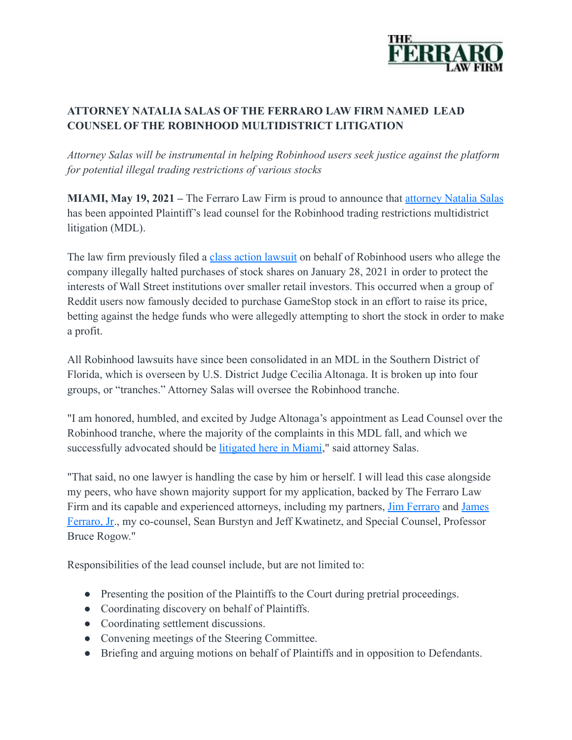

## **ATTORNEY NATALIA SALAS OF THE FERRARO LAW FIRM NAMED LEAD COUNSEL OF THE ROBINHOOD MULTIDISTRICT LITIGATION**

*Attorney Salas will be instrumental in helping Robinhood users seek justice against the platform for potential illegal trading restrictions of various stocks*

**MIAMI, May 19, 2021 –** The Ferraro Law Firm is proud to announce that [attorney Natalia Salas](https://www.ferrarolaw.com/attorney-profiles/natalia-salas/) has been appointed Plaintiff's lead counsel for the Robinhood trading restrictions multidistrict litigation (MDL).

The law firm previously filed a [class action lawsuit](https://www.ferrarolaw.com/blog/2021/february/the-ferraro-law-firm-takes-action-against-robinhood-and-co-conspirators/) on behalf of Robinhood users who allege the company illegally halted purchases of stock shares on January 28, 2021 in order to protect the interests of Wall Street institutions over smaller retail investors. This occurred when a group of Reddit users now famously decided to purchase GameStop stock in an effort to raise its price, betting against the hedge funds who were allegedly attempting to short the stock in order to make a profit.

All Robinhood lawsuits have since been consolidated in an MDL in the Southern District of Florida, which is overseen by U.S. District Judge Cecilia Altonaga. It is broken up into four groups, or "tranches." Attorney Salas will oversee the Robinhood tranche.

"I am honored, humbled, and excited by Judge Altonaga's appointment as Lead Counsel over the Robinhood tranche, where the majority of the complaints in this MDL fall, and which we successfully advocated should be [litigated here in](https://www.ferrarolaw.com/blog/2021/april/the-ferraro-law-firm-spearheads-florida-transfer-of-robinhood-lawsuits-paving-the-way-for-faster-recovery/) Miami," said attorney Salas.

"That said, no one lawyer is handling the case by him or herself. I will lead this case alongside my peers, who have shown majority support for my application, backed by The Ferraro Law Firm and its capable and experienced attorneys, including my partners, *[Jim Ferraro](https://www.ferrarolaw.com/attorney-profiles/james-l-ferraro/)* and *[James](https://www.ferrarolaw.com/attorney-profiles/james-l-ferraro-jr/)* [Ferraro, Jr.](https://www.ferrarolaw.com/attorney-profiles/james-l-ferraro-jr/), my co-counsel, Sean Burstyn and Jeff Kwatinetz, and Special Counsel, Professor Bruce Rogow."

Responsibilities of the lead counsel include, but are not limited to:

- Presenting the position of the Plaintiffs to the Court during pretrial proceedings.
- Coordinating discovery on behalf of Plaintiffs.
- Coordinating settlement discussions.
- Convening meetings of the Steering Committee.
- Briefing and arguing motions on behalf of Plaintiffs and in opposition to Defendants.